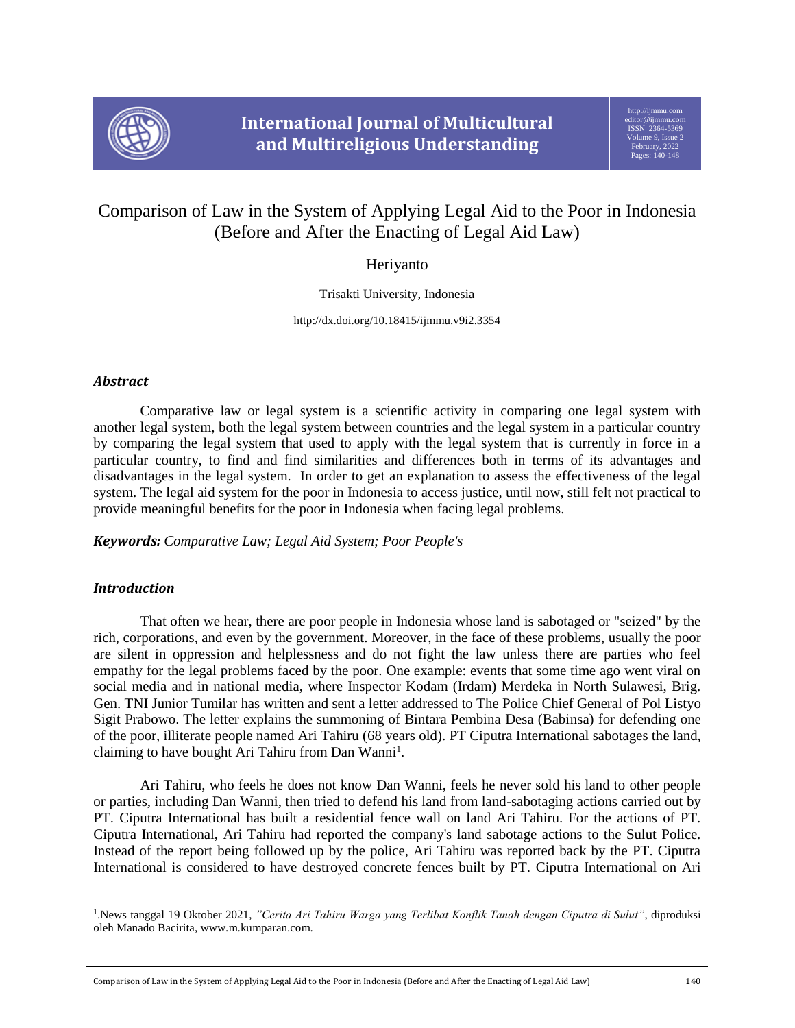

# Comparison of Law in the System of Applying Legal Aid to the Poor in Indonesia (Before and After the Enacting of Legal Aid Law)

Heriyanto

Trisakti University, Indonesia

http://dx.doi.org/10.18415/ijmmu.v9i2.3354

# *Abstract*

Comparative law or legal system is a scientific activity in comparing one legal system with another legal system, both the legal system between countries and the legal system in a particular country by comparing the legal system that used to apply with the legal system that is currently in force in a particular country, to find and find similarities and differences both in terms of its advantages and disadvantages in the legal system. In order to get an explanation to assess the effectiveness of the legal system. The legal aid system for the poor in Indonesia to access justice, until now, still felt not practical to provide meaningful benefits for the poor in Indonesia when facing legal problems.

*Keywords: Comparative Law; Legal Aid System; Poor People's* 

## *Introduction*

 $\overline{a}$ 

That often we hear, there are poor people in Indonesia whose land is sabotaged or "seized" by the rich, corporations, and even by the government. Moreover, in the face of these problems, usually the poor are silent in oppression and helplessness and do not fight the law unless there are parties who feel empathy for the legal problems faced by the poor. One example: events that some time ago went viral on social media and in national media, where Inspector Kodam (Irdam) Merdeka in North Sulawesi, Brig. Gen. TNI Junior Tumilar has written and sent a letter addressed to The Police Chief General of Pol Listyo Sigit Prabowo. The letter explains the summoning of Bintara Pembina Desa (Babinsa) for defending one of the poor, illiterate people named Ari Tahiru (68 years old). PT Ciputra International sabotages the land, claiming to have bought Ari Tahiru from Dan Wanni<sup>1</sup>.

Ari Tahiru, who feels he does not know Dan Wanni, feels he never sold his land to other people or parties, including Dan Wanni, then tried to defend his land from land-sabotaging actions carried out by PT. Ciputra International has built a residential fence wall on land Ari Tahiru. For the actions of PT. Ciputra International, Ari Tahiru had reported the company's land sabotage actions to the Sulut Police. Instead of the report being followed up by the police, Ari Tahiru was reported back by the PT. Ciputra International is considered to have destroyed concrete fences built by PT. Ciputra International on Ari

<sup>1</sup> .News tanggal 19 Oktober 2021, *"Cerita Ari Tahiru Warga yang Terlibat Konflik Tanah dengan Ciputra di Sulut"*, diproduksi oleh Manado Bacirita, www.m.kumparan.com.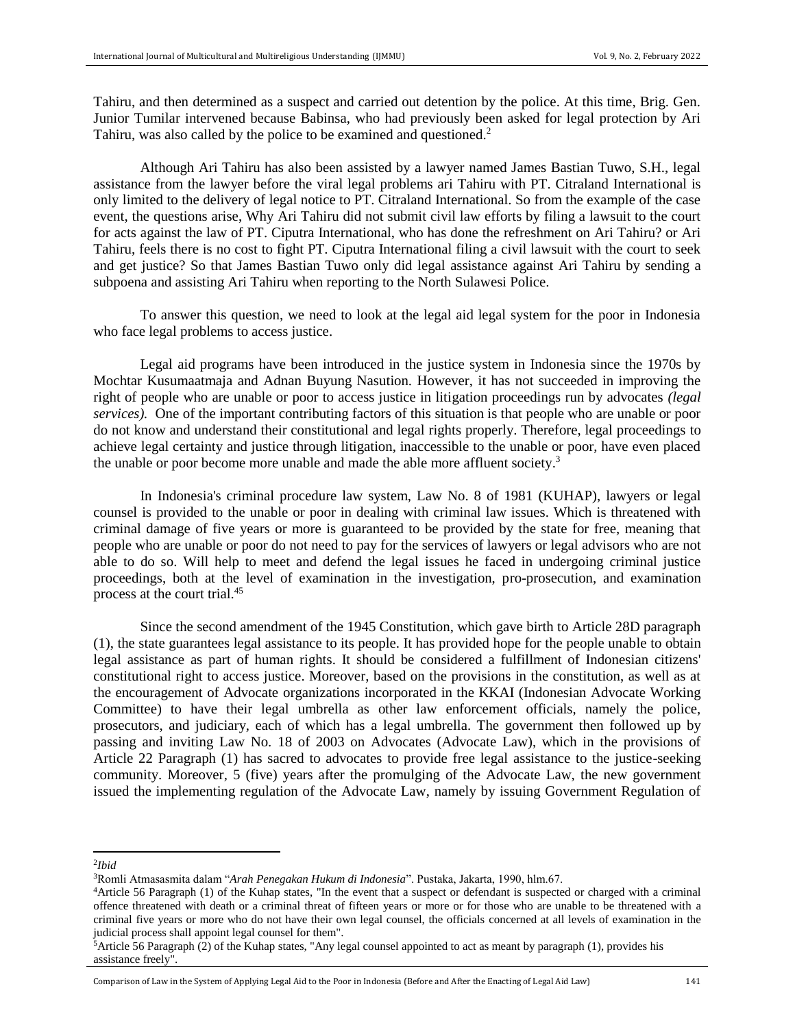Tahiru, and then determined as a suspect and carried out detention by the police. At this time, Brig. Gen. Junior Tumilar intervened because Babinsa, who had previously been asked for legal protection by Ari Tahiru, was also called by the police to be examined and questioned.<sup>2</sup>

Although Ari Tahiru has also been assisted by a lawyer named James Bastian Tuwo, S.H., legal assistance from the lawyer before the viral legal problems ari Tahiru with PT. Citraland International is only limited to the delivery of legal notice to PT. Citraland International. So from the example of the case event, the questions arise, Why Ari Tahiru did not submit civil law efforts by filing a lawsuit to the court for acts against the law of PT. Ciputra International, who has done the refreshment on Ari Tahiru? or Ari Tahiru, feels there is no cost to fight PT. Ciputra International filing a civil lawsuit with the court to seek and get justice? So that James Bastian Tuwo only did legal assistance against Ari Tahiru by sending a subpoena and assisting Ari Tahiru when reporting to the North Sulawesi Police.

To answer this question, we need to look at the legal aid legal system for the poor in Indonesia who face legal problems to access justice.

Legal aid programs have been introduced in the justice system in Indonesia since the 1970s by Mochtar Kusumaatmaja and Adnan Buyung Nasution. However, it has not succeeded in improving the right of people who are unable or poor to access justice in litigation proceedings run by advocates *(legal services).* One of the important contributing factors of this situation is that people who are unable or poor do not know and understand their constitutional and legal rights properly. Therefore, legal proceedings to achieve legal certainty and justice through litigation, inaccessible to the unable or poor, have even placed the unable or poor become more unable and made the able more affluent society.<sup>3</sup>

In Indonesia's criminal procedure law system, Law No. 8 of 1981 (KUHAP), lawyers or legal counsel is provided to the unable or poor in dealing with criminal law issues. Which is threatened with criminal damage of five years or more is guaranteed to be provided by the state for free, meaning that people who are unable or poor do not need to pay for the services of lawyers or legal advisors who are not able to do so. Will help to meet and defend the legal issues he faced in undergoing criminal justice proceedings, both at the level of examination in the investigation, pro-prosecution, and examination process at the court trial.<sup>45</sup>

Since the second amendment of the 1945 Constitution, which gave birth to Article 28D paragraph (1), the state guarantees legal assistance to its people. It has provided hope for the people unable to obtain legal assistance as part of human rights. It should be considered a fulfillment of Indonesian citizens' constitutional right to access justice. Moreover, based on the provisions in the constitution, as well as at the encouragement of Advocate organizations incorporated in the KKAI (Indonesian Advocate Working Committee) to have their legal umbrella as other law enforcement officials, namely the police, prosecutors, and judiciary, each of which has a legal umbrella. The government then followed up by passing and inviting Law No. 18 of 2003 on Advocates (Advocate Law), which in the provisions of Article 22 Paragraph (1) has sacred to advocates to provide free legal assistance to the justice-seeking community. Moreover, 5 (five) years after the promulging of the Advocate Law, the new government issued the implementing regulation of the Advocate Law, namely by issuing Government Regulation of

2 *Ibid*

 $\overline{\phantom{a}}$ 

<sup>3</sup>Romli Atmasasmita dalam "*Arah Penegakan Hukum di Indonesia*". Pustaka, Jakarta, 1990, hlm.67.

<sup>4</sup>Article 56 Paragraph (1) of the Kuhap states, "In the event that a suspect or defendant is suspected or charged with a criminal offence threatened with death or a criminal threat of fifteen years or more or for those who are unable to be threatened with a criminal five years or more who do not have their own legal counsel, the officials concerned at all levels of examination in the judicial process shall appoint legal counsel for them".

 $5$ Article 56 Paragraph (2) of the Kuhap states, "Any legal counsel appointed to act as meant by paragraph (1), provides his assistance freely".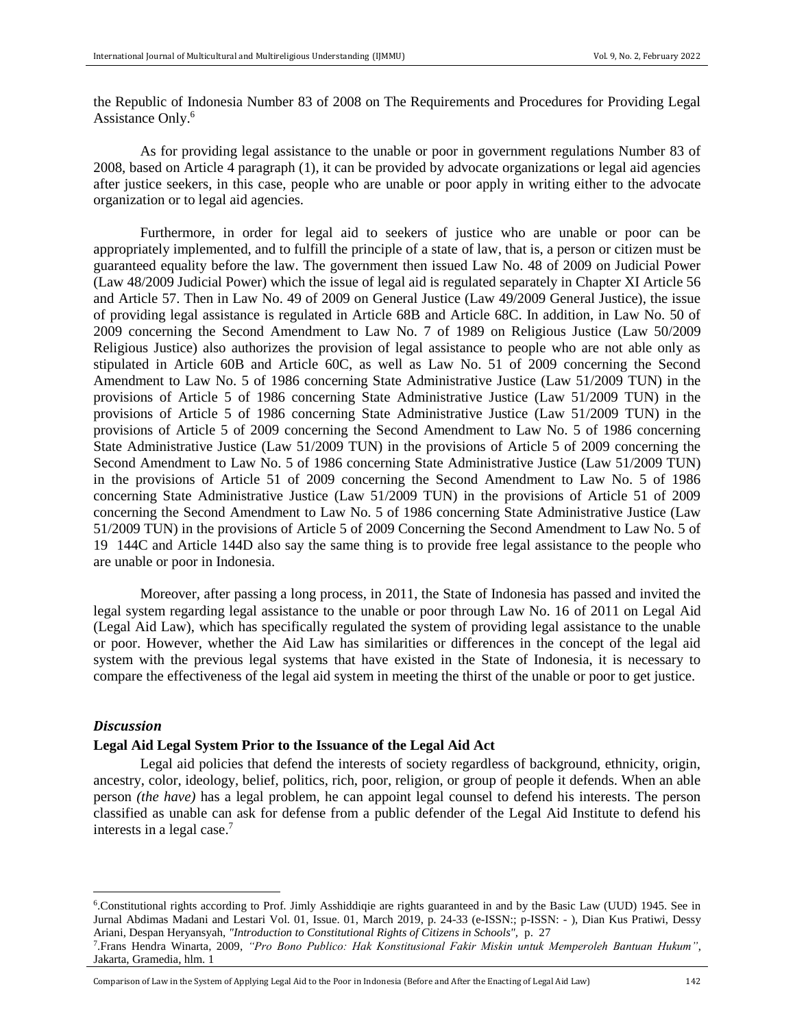the Republic of Indonesia Number 83 of 2008 on The Requirements and Procedures for Providing Legal Assistance Only.<sup>6</sup>

As for providing legal assistance to the unable or poor in government regulations Number 83 of 2008, based on Article 4 paragraph (1), it can be provided by advocate organizations or legal aid agencies after justice seekers, in this case, people who are unable or poor apply in writing either to the advocate organization or to legal aid agencies.

Furthermore, in order for legal aid to seekers of justice who are unable or poor can be appropriately implemented, and to fulfill the principle of a state of law, that is, a person or citizen must be guaranteed equality before the law. The government then issued Law No. 48 of 2009 on Judicial Power (Law 48/2009 Judicial Power) which the issue of legal aid is regulated separately in Chapter XI Article 56 and Article 57. Then in Law No. 49 of 2009 on General Justice (Law 49/2009 General Justice), the issue of providing legal assistance is regulated in Article 68B and Article 68C. In addition, in Law No. 50 of 2009 concerning the Second Amendment to Law No. 7 of 1989 on Religious Justice (Law 50/2009 Religious Justice) also authorizes the provision of legal assistance to people who are not able only as stipulated in Article 60B and Article 60C, as well as Law No. 51 of 2009 concerning the Second Amendment to Law No. 5 of 1986 concerning State Administrative Justice (Law 51/2009 TUN) in the provisions of Article 5 of 1986 concerning State Administrative Justice (Law 51/2009 TUN) in the provisions of Article 5 of 1986 concerning State Administrative Justice (Law 51/2009 TUN) in the provisions of Article 5 of 2009 concerning the Second Amendment to Law No. 5 of 1986 concerning State Administrative Justice (Law 51/2009 TUN) in the provisions of Article 5 of 2009 concerning the Second Amendment to Law No. 5 of 1986 concerning State Administrative Justice (Law 51/2009 TUN) in the provisions of Article 51 of 2009 concerning the Second Amendment to Law No. 5 of 1986 concerning State Administrative Justice (Law 51/2009 TUN) in the provisions of Article 51 of 2009 concerning the Second Amendment to Law No. 5 of 1986 concerning State Administrative Justice (Law 51/2009 TUN) in the provisions of Article 5 of 2009 Concerning the Second Amendment to Law No. 5 of 19 144C and Article 144D also say the same thing is to provide free legal assistance to the people who are unable or poor in Indonesia.

Moreover, after passing a long process, in 2011, the State of Indonesia has passed and invited the legal system regarding legal assistance to the unable or poor through Law No. 16 of 2011 on Legal Aid (Legal Aid Law), which has specifically regulated the system of providing legal assistance to the unable or poor. However, whether the Aid Law has similarities or differences in the concept of the legal aid system with the previous legal systems that have existed in the State of Indonesia, it is necessary to compare the effectiveness of the legal aid system in meeting the thirst of the unable or poor to get justice.

## *Discussion*

l

## **Legal Aid Legal System Prior to the Issuance of the Legal Aid Act**

Legal aid policies that defend the interests of society regardless of background, ethnicity, origin, ancestry, color, ideology, belief, politics, rich, poor, religion, or group of people it defends. When an able person *(the have)* has a legal problem, he can appoint legal counsel to defend his interests. The person classified as unable can ask for defense from a public defender of the Legal Aid Institute to defend his interests in a legal case. 7

<sup>6</sup> .Constitutional rights according to Prof. Jimly Asshiddiqie are rights guaranteed in and by the Basic Law (UUD) 1945. See in Jurnal Abdimas Madani and Lestari Vol. 01, Issue. 01, March 2019, p. 24-33 (e-ISSN:; p-ISSN: - ), Dian Kus Pratiwi, Dessy Ariani, Despan Heryansyah, *"Introduction to Constitutional Rights of Citizens in Schools",* p. 27

<sup>7</sup> .Frans Hendra Winarta, 2009, *"Pro Bono Publico: Hak Konstitusional Fakir Miskin untuk Memperoleh Bantuan Hukum"*, Jakarta, Gramedia, hlm. 1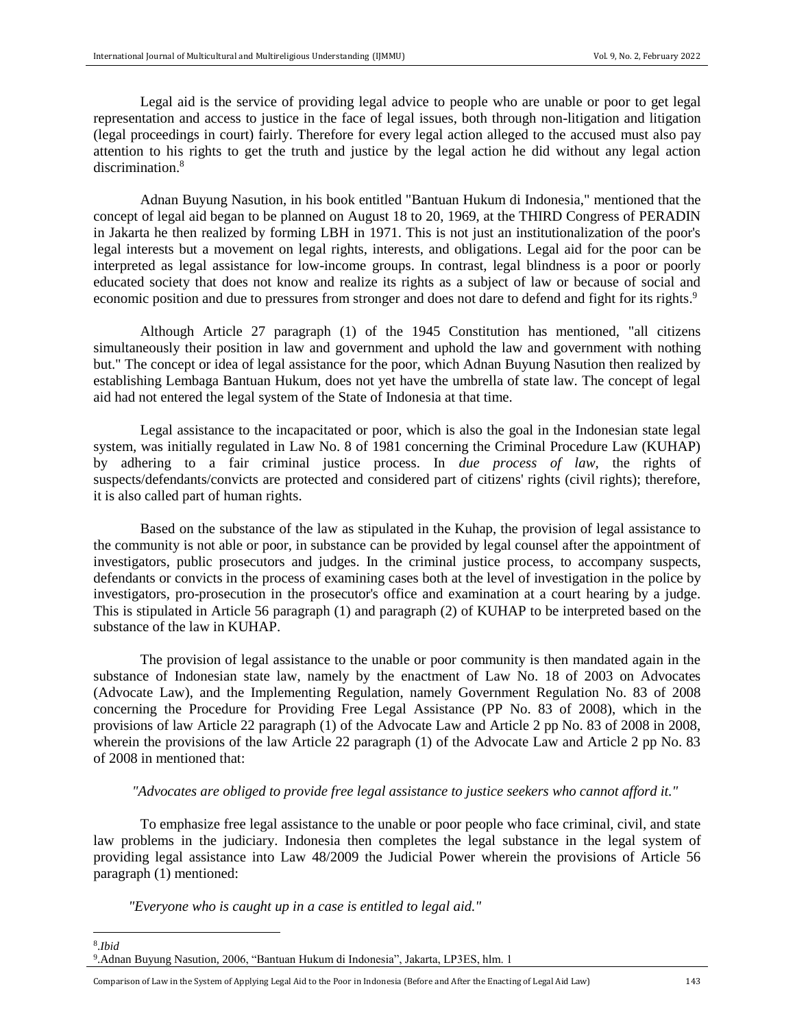Legal aid is the service of providing legal advice to people who are unable or poor to get legal representation and access to justice in the face of legal issues, both through non-litigation and litigation (legal proceedings in court) fairly. Therefore for every legal action alleged to the accused must also pay attention to his rights to get the truth and justice by the legal action he did without any legal action discrimination.<sup>8</sup>

Adnan Buyung Nasution, in his book entitled "Bantuan Hukum di Indonesia," mentioned that the concept of legal aid began to be planned on August 18 to 20, 1969, at the THIRD Congress of PERADIN in Jakarta he then realized by forming LBH in 1971. This is not just an institutionalization of the poor's legal interests but a movement on legal rights, interests, and obligations. Legal aid for the poor can be interpreted as legal assistance for low-income groups. In contrast, legal blindness is a poor or poorly educated society that does not know and realize its rights as a subject of law or because of social and economic position and due to pressures from stronger and does not dare to defend and fight for its rights.<sup>9</sup>

Although Article 27 paragraph (1) of the 1945 Constitution has mentioned, "all citizens simultaneously their position in law and government and uphold the law and government with nothing but." The concept or idea of legal assistance for the poor, which Adnan Buyung Nasution then realized by establishing Lembaga Bantuan Hukum, does not yet have the umbrella of state law. The concept of legal aid had not entered the legal system of the State of Indonesia at that time.

Legal assistance to the incapacitated or poor, which is also the goal in the Indonesian state legal system, was initially regulated in Law No. 8 of 1981 concerning the Criminal Procedure Law (KUHAP) by adhering to a fair criminal justice process. In *due process of law,* the rights of suspects/defendants/convicts are protected and considered part of citizens' rights (civil rights); therefore, it is also called part of human rights.

Based on the substance of the law as stipulated in the Kuhap, the provision of legal assistance to the community is not able or poor, in substance can be provided by legal counsel after the appointment of investigators, public prosecutors and judges. In the criminal justice process, to accompany suspects, defendants or convicts in the process of examining cases both at the level of investigation in the police by investigators, pro-prosecution in the prosecutor's office and examination at a court hearing by a judge. This is stipulated in Article 56 paragraph (1) and paragraph (2) of KUHAP to be interpreted based on the substance of the law in KUHAP.

The provision of legal assistance to the unable or poor community is then mandated again in the substance of Indonesian state law, namely by the enactment of Law No. 18 of 2003 on Advocates (Advocate Law), and the Implementing Regulation, namely Government Regulation No. 83 of 2008 concerning the Procedure for Providing Free Legal Assistance (PP No. 83 of 2008), which in the provisions of law Article 22 paragraph (1) of the Advocate Law and Article 2 pp No. 83 of 2008 in 2008, wherein the provisions of the law Article 22 paragraph (1) of the Advocate Law and Article 2 pp No. 83 of 2008 in mentioned that:

## *"Advocates are obliged to provide free legal assistance to justice seekers who cannot afford it."*

To emphasize free legal assistance to the unable or poor people who face criminal, civil, and state law problems in the judiciary. Indonesia then completes the legal substance in the legal system of providing legal assistance into Law 48/2009 the Judicial Power wherein the provisions of Article 56 paragraph (1) mentioned:

*"Everyone who is caught up in a case is entitled to legal aid."*

 $\overline{a}$ 

<sup>8</sup> .*Ibid* 9 .Adnan Buyung Nasution, 2006, "Bantuan Hukum di Indonesia", Jakarta, LP3ES, hlm. 1

Comparison of Law in the System of Applying Legal Aid to the Poor in Indonesia (Before and After the Enacting of Legal Aid Law) 143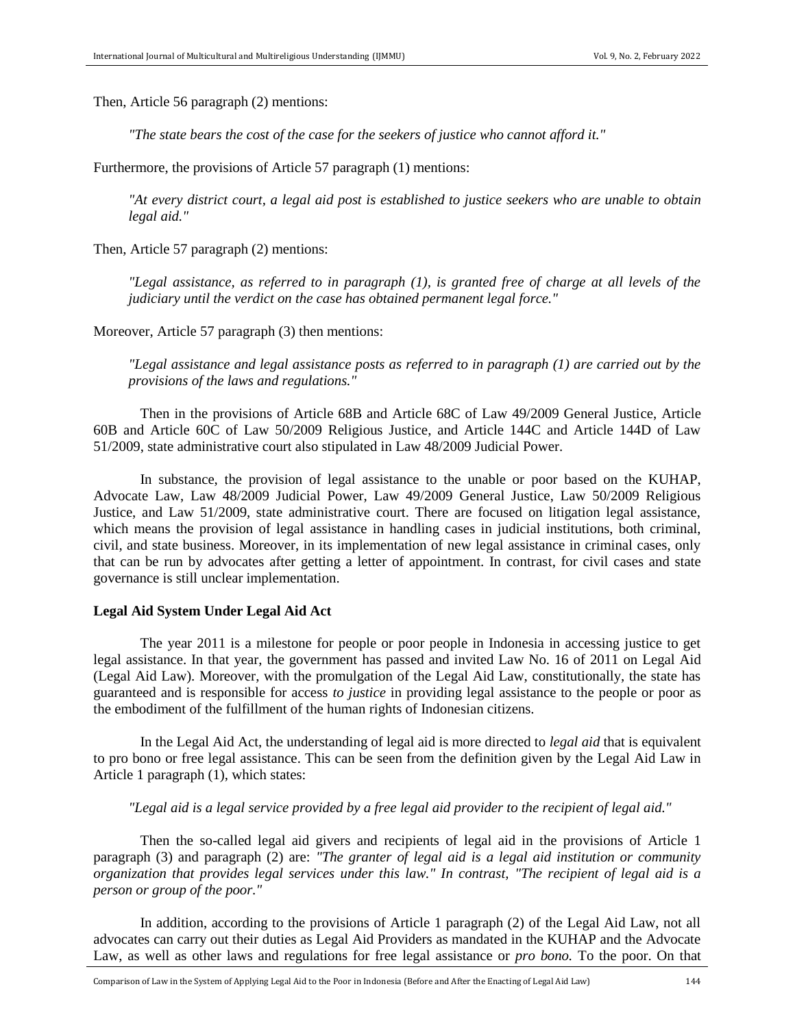Then, Article 56 paragraph (2) mentions:

*"The state bears the cost of the case for the seekers of justice who cannot afford it."*

Furthermore, the provisions of Article 57 paragraph (1) mentions:

*"At every district court, a legal aid post is established to justice seekers who are unable to obtain legal aid."*

Then, Article 57 paragraph (2) mentions:

*"Legal assistance, as referred to in paragraph (1), is granted free of charge at all levels of the judiciary until the verdict on the case has obtained permanent legal force."*

Moreover, Article 57 paragraph (3) then mentions:

*"Legal assistance and legal assistance posts as referred to in paragraph (1) are carried out by the provisions of the laws and regulations."*

Then in the provisions of Article 68B and Article 68C of Law 49/2009 General Justice, Article 60B and Article 60C of Law 50/2009 Religious Justice, and Article 144C and Article 144D of Law 51/2009, state administrative court also stipulated in Law 48/2009 Judicial Power.

In substance, the provision of legal assistance to the unable or poor based on the KUHAP, Advocate Law, Law 48/2009 Judicial Power, Law 49/2009 General Justice, Law 50/2009 Religious Justice, and Law 51/2009, state administrative court. There are focused on litigation legal assistance, which means the provision of legal assistance in handling cases in judicial institutions, both criminal, civil, and state business. Moreover, in its implementation of new legal assistance in criminal cases, only that can be run by advocates after getting a letter of appointment. In contrast, for civil cases and state governance is still unclear implementation.

## **Legal Aid System Under Legal Aid Act**

The year 2011 is a milestone for people or poor people in Indonesia in accessing justice to get legal assistance. In that year, the government has passed and invited Law No. 16 of 2011 on Legal Aid (Legal Aid Law). Moreover, with the promulgation of the Legal Aid Law, constitutionally, the state has guaranteed and is responsible for access *to justice* in providing legal assistance to the people or poor as the embodiment of the fulfillment of the human rights of Indonesian citizens.

In the Legal Aid Act, the understanding of legal aid is more directed to *legal aid* that is equivalent to pro bono or free legal assistance. This can be seen from the definition given by the Legal Aid Law in Article 1 paragraph (1), which states:

*"Legal aid is a legal service provided by a free legal aid provider to the recipient of legal aid."* 

Then the so-called legal aid givers and recipients of legal aid in the provisions of Article 1 paragraph (3) and paragraph (2) are: *"The granter of legal aid is a legal aid institution or community organization that provides legal services under this law." In contrast, "The recipient of legal aid is a person or group of the poor."*

In addition, according to the provisions of Article 1 paragraph (2) of the Legal Aid Law, not all advocates can carry out their duties as Legal Aid Providers as mandated in the KUHAP and the Advocate Law, as well as other laws and regulations for free legal assistance or *pro bono.* To the poor. On that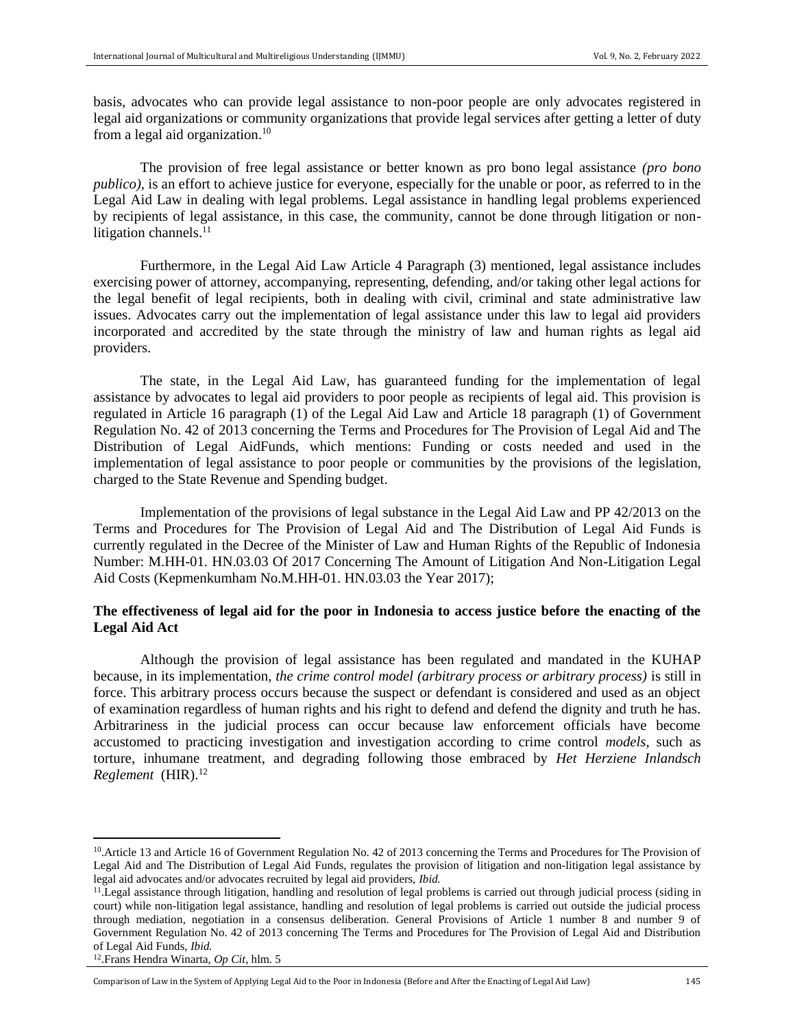basis, advocates who can provide legal assistance to non-poor people are only advocates registered in legal aid organizations or community organizations that provide legal services after getting a letter of duty from a legal aid organization.<sup>10</sup>

The provision of free legal assistance or better known as pro bono legal assistance *(pro bono publico),* is an effort to achieve justice for everyone, especially for the unable or poor, as referred to in the Legal Aid Law in dealing with legal problems. Legal assistance in handling legal problems experienced by recipients of legal assistance, in this case, the community, cannot be done through litigation or nonlitigation channels.<sup>11</sup>

Furthermore, in the Legal Aid Law Article 4 Paragraph (3) mentioned, legal assistance includes exercising power of attorney, accompanying, representing, defending, and/or taking other legal actions for the legal benefit of legal recipients, both in dealing with civil, criminal and state administrative law issues. Advocates carry out the implementation of legal assistance under this law to legal aid providers incorporated and accredited by the state through the ministry of law and human rights as legal aid providers.

The state, in the Legal Aid Law, has guaranteed funding for the implementation of legal assistance by advocates to legal aid providers to poor people as recipients of legal aid. This provision is regulated in Article 16 paragraph (1) of the Legal Aid Law and Article 18 paragraph (1) of Government Regulation No. 42 of 2013 concerning the Terms and Procedures for The Provision of Legal Aid and The Distribution of Legal AidFunds, which mentions: Funding or costs needed and used in the implementation of legal assistance to poor people or communities by the provisions of the legislation, charged to the State Revenue and Spending budget.

Implementation of the provisions of legal substance in the Legal Aid Law and PP 42/2013 on the Terms and Procedures for The Provision of Legal Aid and The Distribution of Legal Aid Funds is currently regulated in the Decree of the Minister of Law and Human Rights of the Republic of Indonesia Number: M.HH-01. HN.03.03 Of 2017 Concerning The Amount of Litigation And Non-Litigation Legal Aid Costs (Kepmenkumham No.M.HH-01. HN.03.03 the Year 2017);

## **The effectiveness of legal aid for the poor in Indonesia to access justice before the enacting of the Legal Aid Act**

Although the provision of legal assistance has been regulated and mandated in the KUHAP because, in its implementation, *the crime control model (arbitrary process or arbitrary process)* is still in force. This arbitrary process occurs because the suspect or defendant is considered and used as an object of examination regardless of human rights and his right to defend and defend the dignity and truth he has. Arbitrariness in the judicial process can occur because law enforcement officials have become accustomed to practicing investigation and investigation according to crime control *models,* such as torture, inhumane treatment, and degrading following those embraced by *Het Herziene Inlandsch Reglement* (HIR).<sup>12</sup>

 $\overline{\phantom{a}}$ 

<sup>&</sup>lt;sup>10</sup>. Article 13 and Article 16 of Government Regulation No. 42 of 2013 concerning the Terms and Procedures for The Provision of Legal Aid and The Distribution of Legal Aid Funds, regulates the provision of litigation and non-litigation legal assistance by legal aid advocates and/or advocates recruited by legal aid providers, *Ibid.*

<sup>11</sup> .Legal assistance through litigation, handling and resolution of legal problems is carried out through judicial process (siding in court) while non-litigation legal assistance, handling and resolution of legal problems is carried out outside the judicial process through mediation, negotiation in a consensus deliberation. General Provisions of Article 1 number 8 and number 9 of Government Regulation No. 42 of 2013 concerning The Terms and Procedures for The Provision of Legal Aid and Distribution of Legal Aid Funds, *Ibid.*

<sup>12</sup> .Frans Hendra Winarta, *Op Cit*, hlm. 5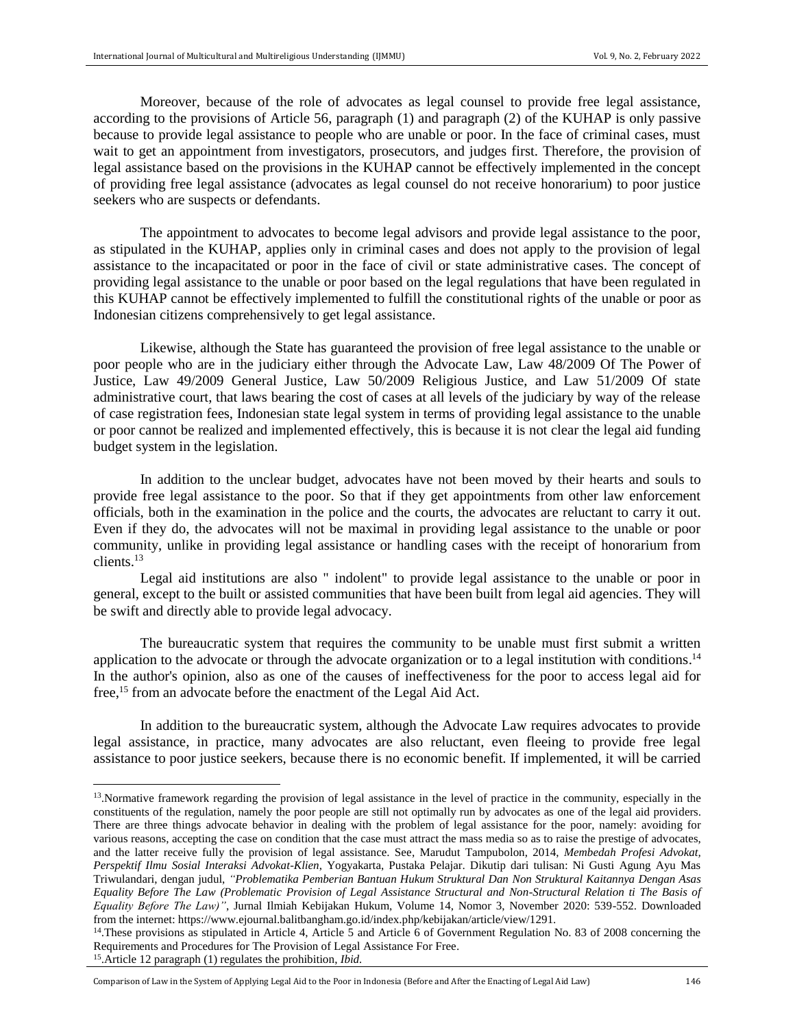Moreover, because of the role of advocates as legal counsel to provide free legal assistance, according to the provisions of Article 56, paragraph (1) and paragraph (2) of the KUHAP is only passive because to provide legal assistance to people who are unable or poor. In the face of criminal cases, must wait to get an appointment from investigators, prosecutors, and judges first. Therefore, the provision of legal assistance based on the provisions in the KUHAP cannot be effectively implemented in the concept of providing free legal assistance (advocates as legal counsel do not receive honorarium) to poor justice seekers who are suspects or defendants.

The appointment to advocates to become legal advisors and provide legal assistance to the poor, as stipulated in the KUHAP, applies only in criminal cases and does not apply to the provision of legal assistance to the incapacitated or poor in the face of civil or state administrative cases. The concept of providing legal assistance to the unable or poor based on the legal regulations that have been regulated in this KUHAP cannot be effectively implemented to fulfill the constitutional rights of the unable or poor as Indonesian citizens comprehensively to get legal assistance.

Likewise, although the State has guaranteed the provision of free legal assistance to the unable or poor people who are in the judiciary either through the Advocate Law, Law 48/2009 Of The Power of Justice, Law 49/2009 General Justice, Law 50/2009 Religious Justice, and Law 51/2009 Of state administrative court, that laws bearing the cost of cases at all levels of the judiciary by way of the release of case registration fees, Indonesian state legal system in terms of providing legal assistance to the unable or poor cannot be realized and implemented effectively, this is because it is not clear the legal aid funding budget system in the legislation.

In addition to the unclear budget, advocates have not been moved by their hearts and souls to provide free legal assistance to the poor. So that if they get appointments from other law enforcement officials, both in the examination in the police and the courts, the advocates are reluctant to carry it out. Even if they do, the advocates will not be maximal in providing legal assistance to the unable or poor community, unlike in providing legal assistance or handling cases with the receipt of honorarium from clients.<sup>13</sup>

Legal aid institutions are also " indolent" to provide legal assistance to the unable or poor in general, except to the built or assisted communities that have been built from legal aid agencies. They will be swift and directly able to provide legal advocacy.

The bureaucratic system that requires the community to be unable must first submit a written application to the advocate or through the advocate organization or to a legal institution with conditions.<sup>14</sup> In the author's opinion, also as one of the causes of ineffectiveness for the poor to access legal aid for free,<sup>15</sup> from an advocate before the enactment of the Legal Aid Act.

In addition to the bureaucratic system, although the Advocate Law requires advocates to provide legal assistance, in practice, many advocates are also reluctant, even fleeing to provide free legal assistance to poor justice seekers, because there is no economic benefit. If implemented, it will be carried

 $\overline{\phantom{a}}$ 

<sup>&</sup>lt;sup>13</sup>. Normative framework regarding the provision of legal assistance in the level of practice in the community, especially in the constituents of the regulation, namely the poor people are still not optimally run by advocates as one of the legal aid providers. There are three things advocate behavior in dealing with the problem of legal assistance for the poor, namely: avoiding for various reasons, accepting the case on condition that the case must attract the mass media so as to raise the prestige of advocates, and the latter receive fully the provision of legal assistance. See, Marudut Tampubolon, 2014, *Membedah Profesi Advokat, Perspektif Ilmu Sosial Interaksi Advokat-Klien*, Yogyakarta, Pustaka Pelajar. Dikutip dari tulisan: Ni Gusti Agung Ayu Mas Triwulandari, dengan judul, *"Problematika Pemberian Bantuan Hukum Struktural Dan Non Struktural Kaitannya Dengan Asas Equality Before The Law (Problematic Provision of Legal Assistance Structural and Non-Structural Relation ti The Basis of Equality Before The Law)"*, Jurnal Ilmiah Kebijakan Hukum, Volume 14, Nomor 3, November 2020: 539-552. Downloaded from the internet: https://www.ejournal.balitbangham.go.id/index.php/kebijakan/article/view/1291.

<sup>&</sup>lt;sup>14</sup>. These provisions as stipulated in Article 4, Article 5 and Article 6 of Government Regulation No. 83 of 2008 concerning the Requirements and Procedures for The Provision of Legal Assistance For Free.

<sup>15</sup> .Article 12 paragraph (1) regulates the prohibition, *Ibid.*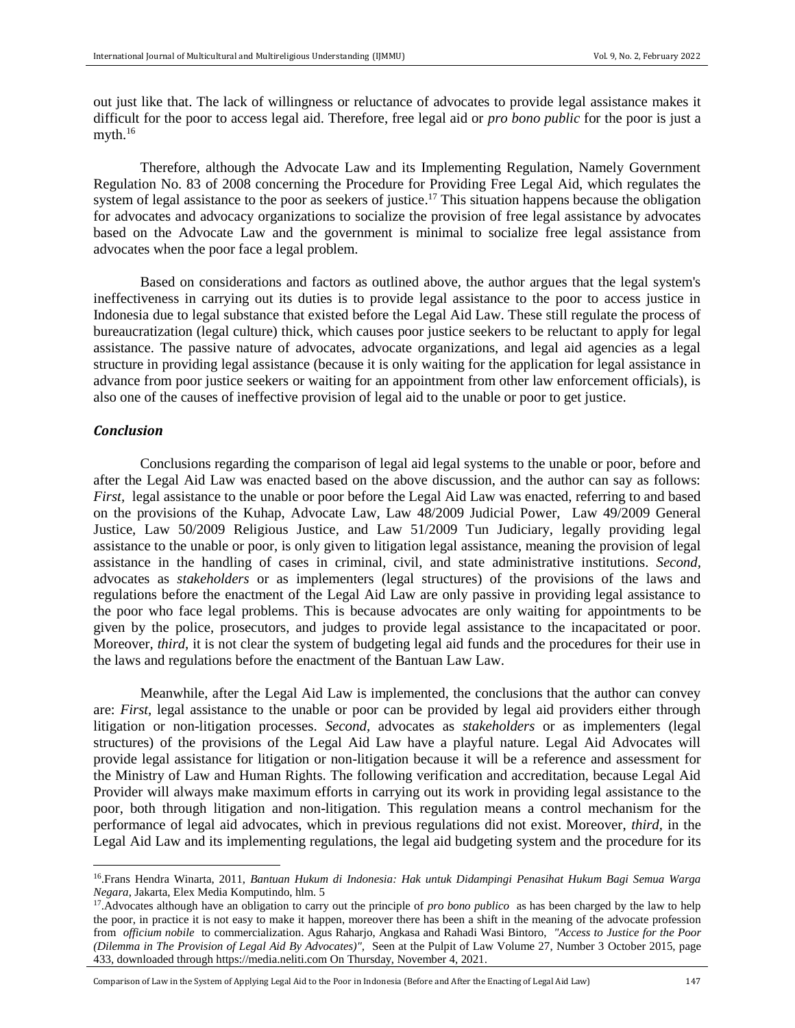out just like that. The lack of willingness or reluctance of advocates to provide legal assistance makes it difficult for the poor to access legal aid. Therefore, free legal aid or *pro bono public* for the poor is just a myth. $16$ 

Therefore, although the Advocate Law and its Implementing Regulation, Namely Government Regulation No. 83 of 2008 concerning the Procedure for Providing Free Legal Aid, which regulates the system of legal assistance to the poor as seekers of justice.<sup>17</sup> This situation happens because the obligation for advocates and advocacy organizations to socialize the provision of free legal assistance by advocates based on the Advocate Law and the government is minimal to socialize free legal assistance from advocates when the poor face a legal problem.

Based on considerations and factors as outlined above, the author argues that the legal system's ineffectiveness in carrying out its duties is to provide legal assistance to the poor to access justice in Indonesia due to legal substance that existed before the Legal Aid Law. These still regulate the process of bureaucratization (legal culture) thick, which causes poor justice seekers to be reluctant to apply for legal assistance. The passive nature of advocates, advocate organizations, and legal aid agencies as a legal structure in providing legal assistance (because it is only waiting for the application for legal assistance in advance from poor justice seekers or waiting for an appointment from other law enforcement officials), is also one of the causes of ineffective provision of legal aid to the unable or poor to get justice.

## *Conclusion*

l

Conclusions regarding the comparison of legal aid legal systems to the unable or poor, before and after the Legal Aid Law was enacted based on the above discussion, and the author can say as follows: *First,* legal assistance to the unable or poor before the Legal Aid Law was enacted, referring to and based on the provisions of the Kuhap, Advocate Law, Law 48/2009 Judicial Power, Law 49/2009 General Justice, Law 50/2009 Religious Justice, and Law 51/2009 Tun Judiciary, legally providing legal assistance to the unable or poor, is only given to litigation legal assistance, meaning the provision of legal assistance in the handling of cases in criminal, civil, and state administrative institutions. *Second,* advocates as *stakeholders* or as implementers (legal structures) of the provisions of the laws and regulations before the enactment of the Legal Aid Law are only passive in providing legal assistance to the poor who face legal problems. This is because advocates are only waiting for appointments to be given by the police, prosecutors, and judges to provide legal assistance to the incapacitated or poor. Moreover, *third,* it is not clear the system of budgeting legal aid funds and the procedures for their use in the laws and regulations before the enactment of the Bantuan Law Law.

Meanwhile, after the Legal Aid Law is implemented, the conclusions that the author can convey are: *First,* legal assistance to the unable or poor can be provided by legal aid providers either through litigation or non-litigation processes. *Second,* advocates as *stakeholders* or as implementers (legal structures) of the provisions of the Legal Aid Law have a playful nature. Legal Aid Advocates will provide legal assistance for litigation or non-litigation because it will be a reference and assessment for the Ministry of Law and Human Rights. The following verification and accreditation, because Legal Aid Provider will always make maximum efforts in carrying out its work in providing legal assistance to the poor, both through litigation and non-litigation. This regulation means a control mechanism for the performance of legal aid advocates, which in previous regulations did not exist. Moreover, *third,* in the Legal Aid Law and its implementing regulations, the legal aid budgeting system and the procedure for its

<sup>16</sup> .Frans Hendra Winarta, 2011, *Bantuan Hukum di Indonesia: Hak untuk Didampingi Penasihat Hukum Bagi Semua Warga Negara*, Jakarta, Elex Media Komputindo, hlm. 5

<sup>&</sup>lt;sup>17</sup>. Advocates although have an obligation to carry out the principle of *pro bono publico* as has been charged by the law to help the poor, in practice it is not easy to make it happen, moreover there has been a shift in the meaning of the advocate profession from *officium nobile* to commercialization. Agus Raharjo, Angkasa and Rahadi Wasi Bintoro, *"Access to Justice for the Poor (Dilemma in The Provision of Legal Aid By Advocates)",* Seen at the Pulpit of Law Volume 27, Number 3 October 2015, page 433, downloaded throug[h https://media.neliti.com](https://media.neliti.com/) On Thursday, November 4, 2021.